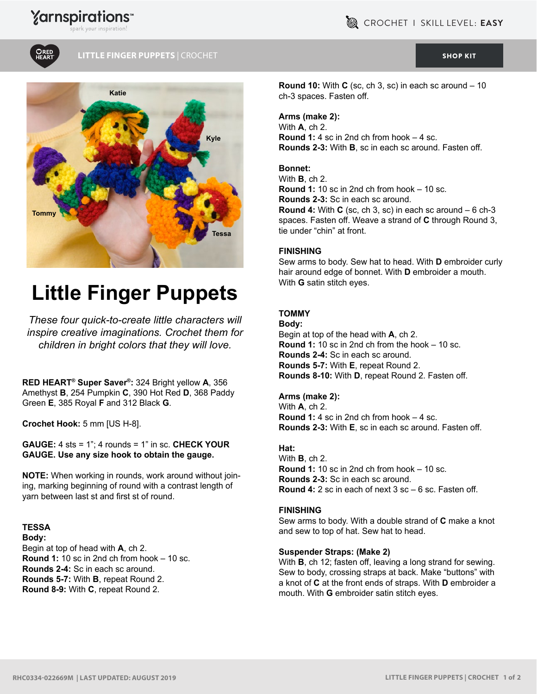

#### **LITTLE FINGER PUPPETS** | CROCHET [SHOP KIT](https://www.yarnspirations.com/red-heart-little-finger-puppets/RHC0334-022669M.html#utm_source=pdf-yarnspirations&utm_medium=referral&utm_campaign=pdf-RHC0334-022669M)



# **Little Finger Puppets**

*These four quick-to-create little characters will inspire creative imaginations. Crochet them for children in bright colors that they will love.*

**A**, 356 **RED HEART® Super Saver®:** 324 Bright yellow Amethyst **B**, 254 Pumpkin **C**, 390 Hot Red **D**, 368 Paddy Green **E**, 385 Royal **F** and 312 Black **G**.

**Crochet Hook:** 5 mm [US H-8].

**GAUGE:** 4 sts = 1"; 4 rounds = 1" in sc. **CHECK YOUR GAUGE. Use any size hook to obtain the gauge.**

**NOTE:** When working in rounds, work around without joining, marking beginning of round with a contrast length of yarn between last st and first st of round.

#### **TESSA**

**Body:** Begin at top of head with **A**, ch 2. **Round 1:** 10 sc in 2nd ch from hook – 10 sc. **Rounds 2-4:** Sc in each sc around. **Rounds 5-7:** With **B**, repeat Round 2. **Round 8-9:** With **C**, repeat Round 2.

**Round 10:** With **C** (sc, ch 3, sc) in each sc around – 10 ch-3 spaces. Fasten off.

# **Arms (make 2):**

With **A**, ch 2. **Round 1:** 4 sc in 2nd ch from hook – 4 sc. **Rounds 2-3:** With **B**, sc in each sc around. Fasten off.

#### **Bonnet:**

With **B**, ch 2. **Round 1:** 10 sc in 2nd ch from hook – 10 sc. **Rounds 2-3:** Sc in each sc around. **Round 4:** With **C** (sc, ch 3, sc) in each sc around – 6 ch-3 spaces. Fasten off. Weave a strand of **C** through Round 3, tie under "chin" at front.

## **FINISHING**

Sew arms to body. Sew hat to head. With **D** embroider curly hair around edge of bonnet. With **D** embroider a mouth. With **G** satin stitch eyes.

## **TOMMY**

**Body:** Begin at top of the head with **A**, ch 2. **Round 1:** 10 sc in 2nd ch from the hook – 10 sc. **Rounds 2-4:** Sc in each sc around. **Rounds 5-7:** With **E**, repeat Round 2. **Rounds 8-10:** With **D**, repeat Round 2. Fasten off.

#### **Arms (make 2):**

With **A**, ch 2. **Round 1:** 4 sc in 2nd ch from hook – 4 sc. **Rounds 2-3:** With **E**, sc in each sc around. Fasten off.

#### **Hat:**

With **B**, ch 2. **Round 1:** 10 sc in 2nd ch from hook – 10 sc. **Rounds 2-3:** Sc in each sc around. **Round 4:** 2 sc in each of next 3 sc – 6 sc. Fasten off.

#### **FINISHING**

Sew arms to body. With a double strand of **C** make a knot and sew to top of hat. Sew hat to head.

# **Suspender Straps: (Make 2)**

With **B**, ch 12; fasten off, leaving a long strand for sewing. Sew to body, crossing straps at back. Make "buttons" with a knot of **C** at the front ends of straps. With **D** embroider a mouth. With **G** embroider satin stitch eyes.